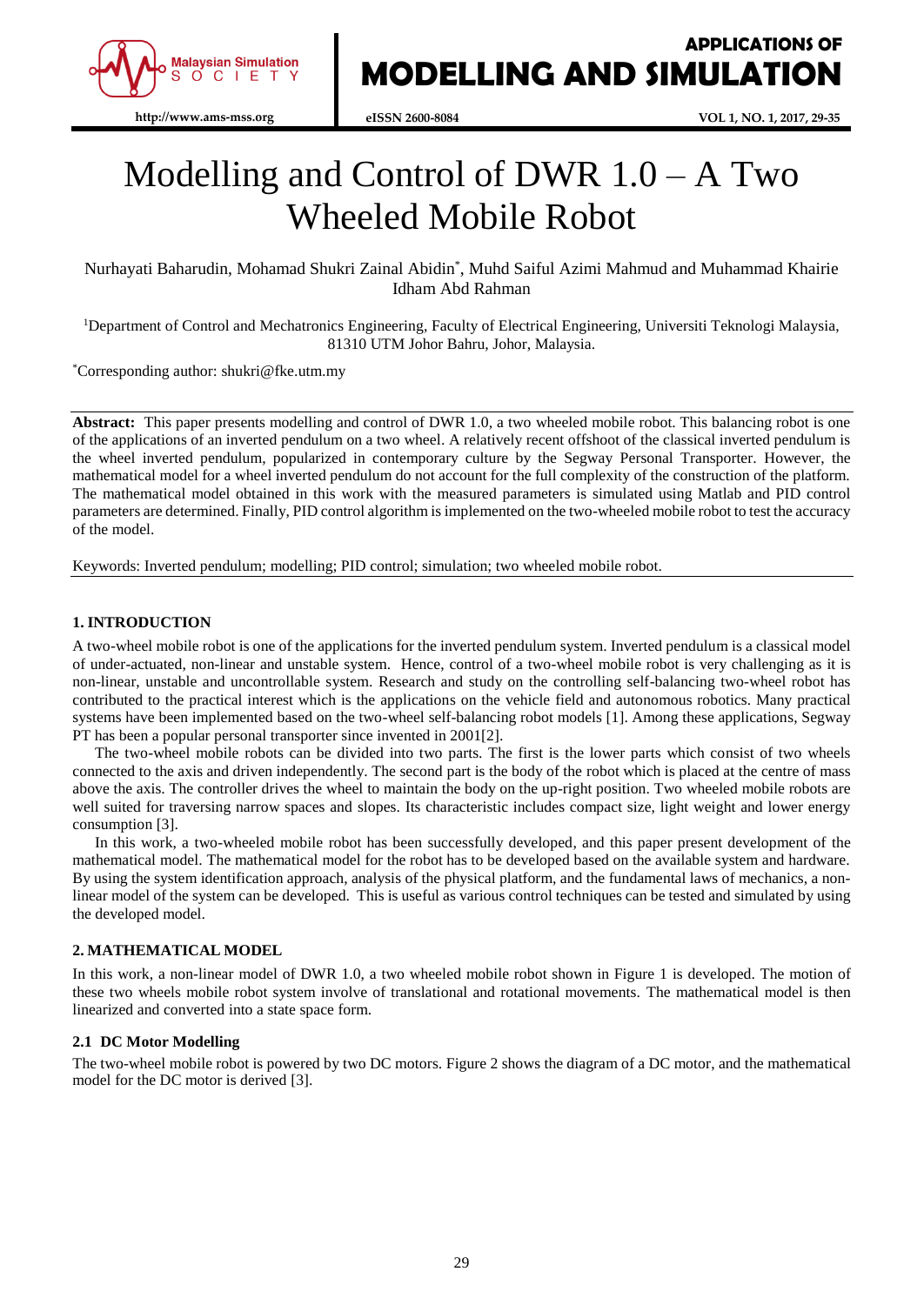

**eISSN 2600-8084 VOL 1, NO. 1, 2017, 29-35**

# Modelling and Control of DWR  $1.0 - A$  Two Wheeled Mobile Robot

Nurhayati Baharudin, Mohamad Shukri Zainal Abidin\* , Muhd Saiful Azimi Mahmud and Muhammad Khairie Idham Abd Rahman

<sup>1</sup>Department of Control and Mechatronics Engineering, Faculty of Electrical Engineering, Universiti Teknologi Malaysia, 81310 UTM Johor Bahru, Johor, Malaysia.

\*Corresponding author: shukri@fke.utm.my

**Abstract:** This paper presents modelling and control of DWR 1.0, a two wheeled mobile robot. This balancing robot is one of the applications of an inverted pendulum on a two wheel. A relatively recent offshoot of the classical inverted pendulum is the wheel inverted pendulum, popularized in contemporary culture by the Segway Personal Transporter. However, the mathematical model for a wheel inverted pendulum do not account for the full complexity of the construction of the platform. The mathematical model obtained in this work with the measured parameters is simulated using Matlab and PID control parameters are determined. Finally, PID control algorithm is implemented on the two-wheeled mobile robot to test the accuracy of the model.

Keywords: Inverted pendulum; modelling; PID control; simulation; two wheeled mobile robot.

# **1. INTRODUCTION**

A two-wheel mobile robot is one of the applications for the inverted pendulum system. Inverted pendulum is a classical model of under-actuated, non-linear and unstable system. Hence, control of a two-wheel mobile robot is very challenging as it is non-linear, unstable and uncontrollable system. Research and study on the controlling self-balancing two-wheel robot has contributed to the practical interest which is the applications on the vehicle field and autonomous robotics. Many practical systems have been implemented based on the two-wheel self-balancing robot models [1]. Among these applications, Segway PT has been a popular personal transporter since invented in 2001[2].

The two-wheel mobile robots can be divided into two parts. The first is the lower parts which consist of two wheels connected to the axis and driven independently. The second part is the body of the robot which is placed at the centre of mass above the axis. The controller drives the wheel to maintain the body on the up-right position. Two wheeled mobile robots are well suited for traversing narrow spaces and slopes. Its characteristic includes compact size, light weight and lower energy consumption [3].

In this work, a two-wheeled mobile robot has been successfully developed, and this paper present development of the mathematical model. The mathematical model for the robot has to be developed based on the available system and hardware. By using the system identification approach, analysis of the physical platform, and the fundamental laws of mechanics, a nonlinear model of the system can be developed. This is useful as various control techniques can be tested and simulated by using the developed model.

# **2. MATHEMATICAL MODEL**

In this work, a non-linear model of DWR 1.0, a two wheeled mobile robot shown in Figure 1 is developed. The motion of these two wheels mobile robot system involve of translational and rotational movements. The mathematical model is then linearized and converted into a state space form.

#### **2.1 DC Motor Modelling**

The two-wheel mobile robot is powered by two DC motors. Figure 2 shows the diagram of a DC motor, and the mathematical model for the DC motor is derived [3].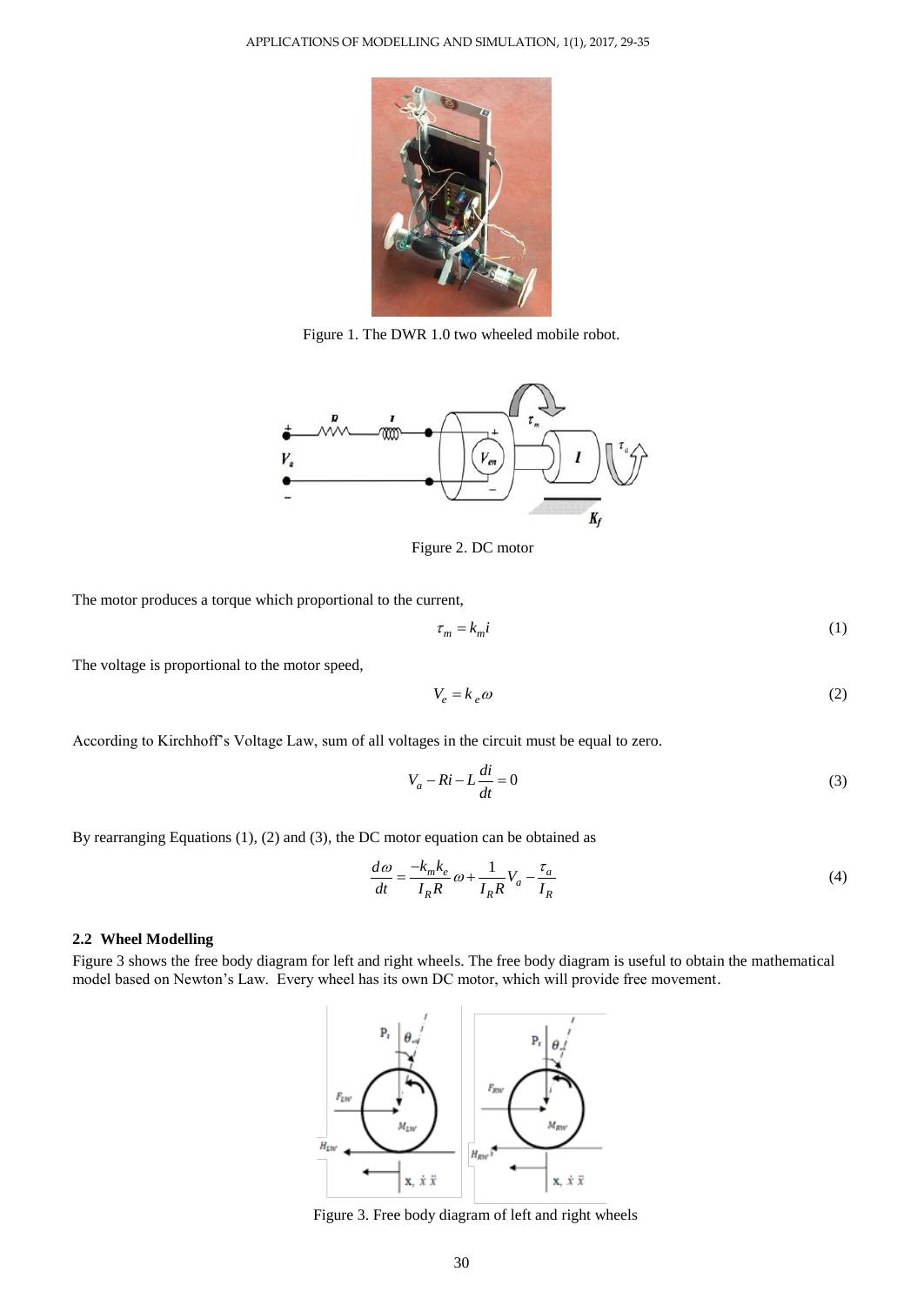

Figure 1. The DWR 1.0 two wheeled mobile robot.



Figure 2. DC motor

The motor produces a torque which proportional to the current,

$$
\tau_m = k_m i \tag{1}
$$

The voltage is proportional to the motor speed,

$$
V_e = k_e \omega \tag{2}
$$

According to Kirchhoff's Voltage Law, sum of all voltages in the circuit must be equal to zero.

$$
V_a - Ri - L\frac{di}{dt} = 0\tag{3}
$$

By rearranging Equations (1), (2) and (3), the DC motor equation can be obtained as

$$
\frac{d\omega}{dt} = \frac{-k_m k_e}{I_R R} \omega + \frac{1}{I_R R} V_a - \frac{\tau_a}{I_R}
$$
\n(4)

# **2.2 Wheel Modelling**

Figure 3 shows the free body diagram for left and right wheels. The free body diagram is useful to obtain the mathematical model based on Newton's Law. Every wheel has its own DC motor, which will provide free movement.



Figure 3. Free body diagram of left and right wheels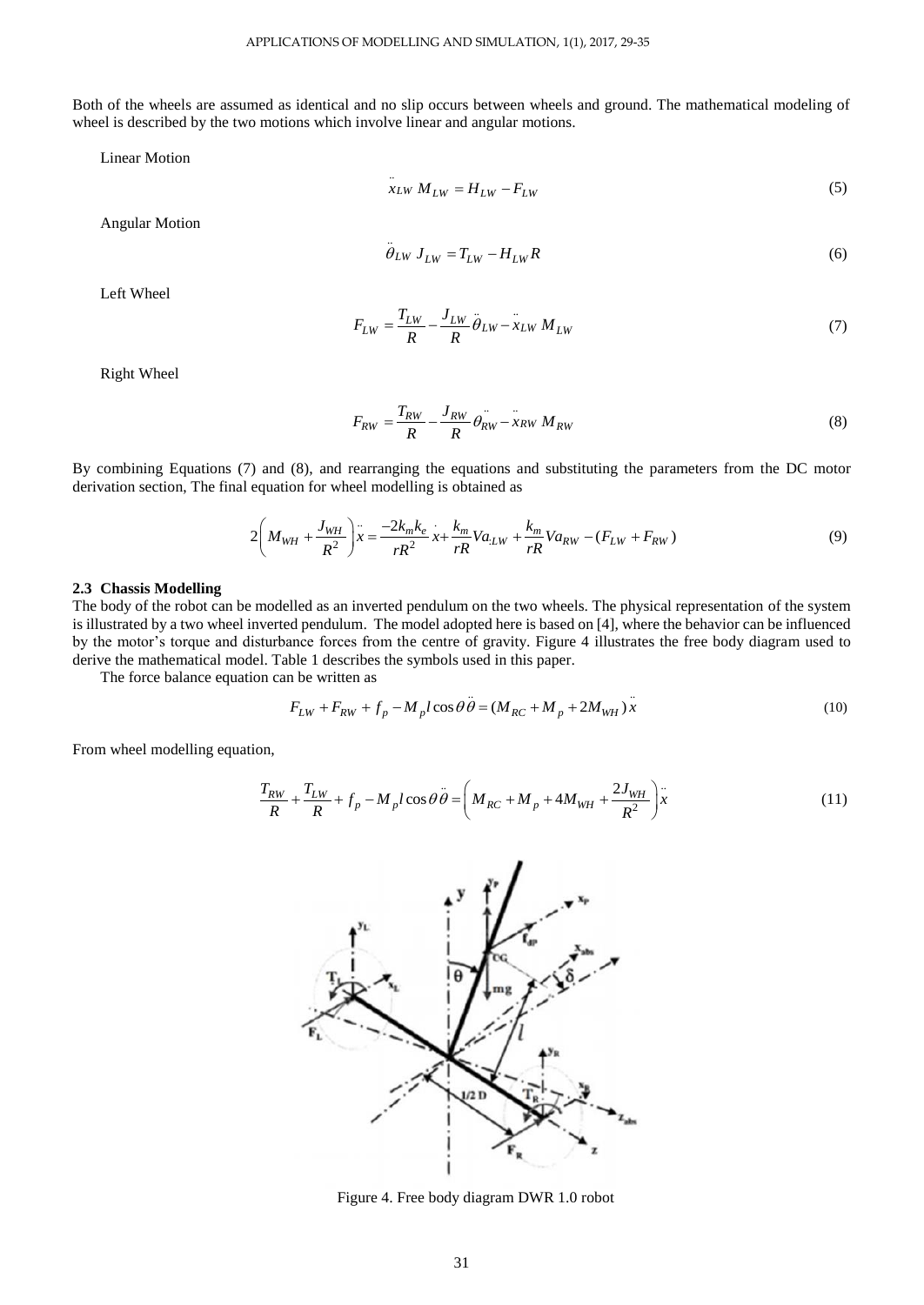Both of the wheels are assumed as identical and no slip occurs between wheels and ground. The mathematical modeling of wheel is described by the two motions which involve linear and angular motions.

Linear Motion

$$
\dot{x}_{LW} M_{LW} = H_{LW} - F_{LW}
$$
\n<sup>(5)</sup>

Angular Motion

$$
\ddot{\theta}_{LW} J_{LW} = T_{LW} - H_{LW} R \tag{6}
$$

Left Wheel

$$
F_{LW} = \frac{T_{LW}}{R} - \frac{J_{LW}}{R} \ddot{\theta}_{LW} - \ddot{x}_{LW} M_{LW}
$$
\n(7)

Right Wheel

$$
F_{RW} = \frac{T_{RW}}{R} - \frac{J_{RW}}{R} \theta_{RW} - x_{RW} M_{RW}
$$
\n(8)

By combining Equations (7) and (8), and rearranging the equations and substituting the parameters from the DC motor derivation section, The final equation for wheel modelling is obtained as<br>  $2\left(M_{WH} + \frac{J_{WH}}{2}\right) x = \frac{-2k_m k_e}{x} x + \frac{k_m}{2} V a_{LW} + \frac{k_m}{2} k_a$ 

$$
2\left(M_{WH} + \frac{J_{WH}}{R^2}\right)^2 = \frac{-2k_mk_e}{rR^2}x + \frac{k_m}{rR}Va_{LW} + \frac{k_m}{rR}Va_{RW} - (F_{LW} + F_{RW})
$$
(9)

#### **2.3 Chassis Modelling**

The body of the robot can be modelled as an inverted pendulum on the two wheels. The physical representation of the system is illustrated by a two wheel inverted pendulum. The model adopted here is based on [4], where the behavior can be influenced by the motor's torque and disturbance forces from the centre of gravity. Figure 4 illustrates the free body diagram used to derive the mathematical model. Table 1 describes the symbols used in this paper.

The force balance equation can be written as

n be written as  
\n
$$
F_{LW} + F_{RW} + f_p - M_p l \cos \theta \ddot{\theta} = (M_{RC} + M_p + 2M_{WH}) \ddot{x}
$$
\n(10)

From wheel modelling equation,

on,  
\n
$$
\frac{T_{RW}}{R} + \frac{T_{LW}}{R} + f_p - M_p l \cos \theta \ddot{\theta} = \left( M_{RC} + M_p + 4M_{WH} + \frac{2J_{WH}}{R^2} \right) x
$$
\n(11)



Figure 4. Free body diagram DWR 1.0 robot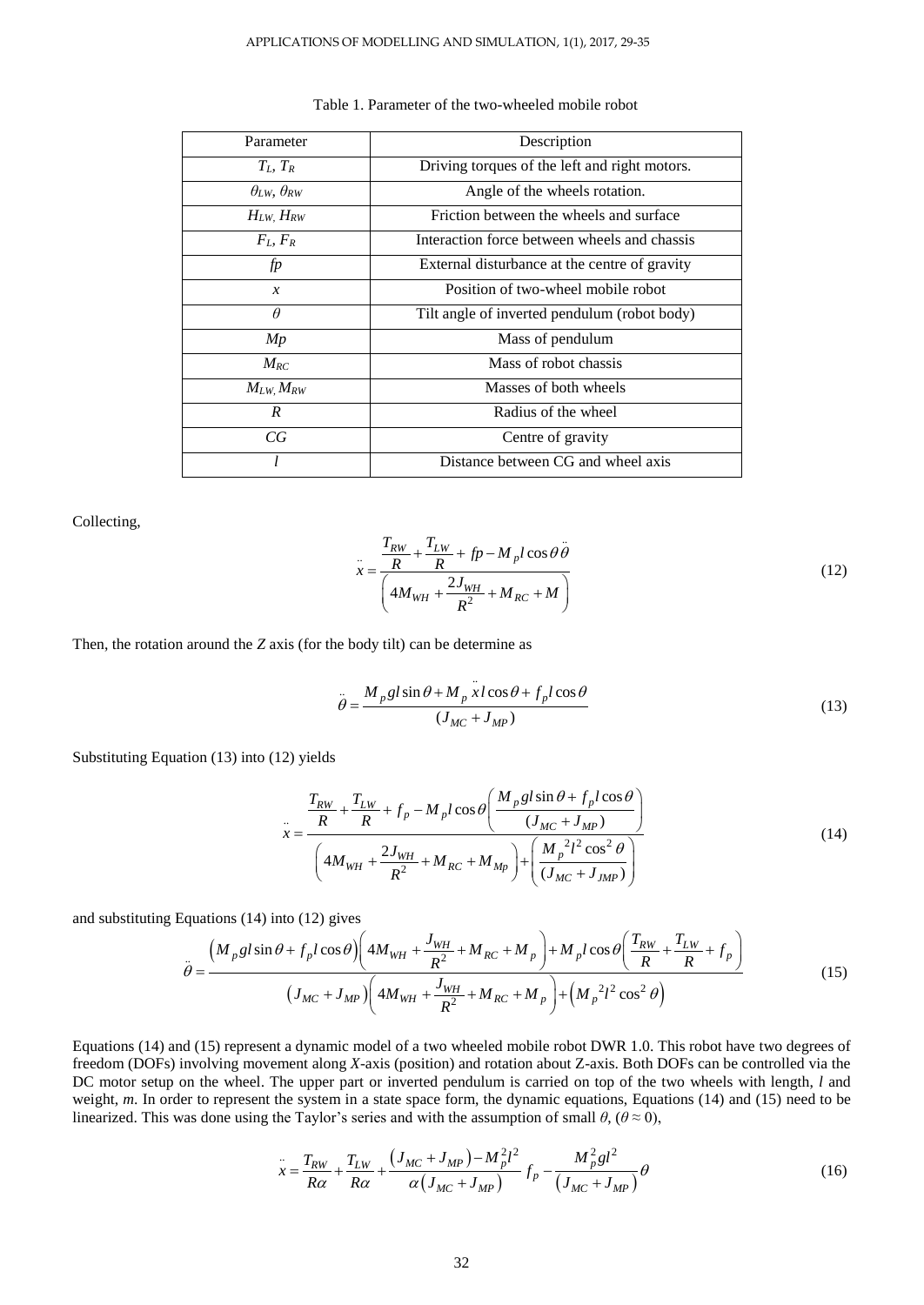| Parameter                     | Description                                   |  |  |
|-------------------------------|-----------------------------------------------|--|--|
| $T_L$ , $T_R$                 | Driving torques of the left and right motors. |  |  |
| $\theta_{LW}$ , $\theta_{RW}$ | Angle of the wheels rotation.                 |  |  |
| $H_{LW}$ , $H_{RW}$           | Friction between the wheels and surface       |  |  |
| $F_L, F_R$                    | Interaction force between wheels and chassis  |  |  |
| fp                            | External disturbance at the centre of gravity |  |  |
| $\mathcal{X}$                 | Position of two-wheel mobile robot            |  |  |
| $\theta$                      | Tilt angle of inverted pendulum (robot body)  |  |  |
| Mp                            | Mass of pendulum                              |  |  |
| $M_{RC}$                      | Mass of robot chassis                         |  |  |
| $M_{LW}$ , $M_{RW}$           | Masses of both wheels                         |  |  |
| $\boldsymbol{R}$              | Radius of the wheel                           |  |  |
| СG                            | Centre of gravity                             |  |  |
|                               | Distance between CG and wheel axis            |  |  |

#### Table 1. Parameter of the two-wheeled mobile robot

Collecting,

$$
\ddot{x} = \frac{\frac{T_{RW}}{R} + \frac{T_{LW}}{R} + fp - M_p l \cos \theta \ddot{\theta}}{\left(4M_{WH} + \frac{2J_{WH}}{R^2} + M_{RC} + M\right)}
$$
(12)

Then, the rotation around the *Z* axis (for the body tilt) can be determine as

$$
\ddot{\theta} = \frac{M_p g l \sin \theta + M_p \ddot{x} l \cos \theta + f_p l \cos \theta}{(J_{MC} + J_{MP})}
$$
(13)

Substituting Equation (13) into (12) yields

$$
x = \frac{\frac{T_{RW}}{R} + \frac{T_{LW}}{R} + f_p - M_p l \cos \theta \left( \frac{M_p g l \sin \theta + f_p l \cos \theta}{(J_{MC} + J_{MP})} \right)}{\left( 4M_{WH} + \frac{2J_{WH}}{R^2} + M_{RC} + M_{Mp} \right) + \left( \frac{M_p^2 l^2 \cos^2 \theta}{(J_{MC} + J_{MP})} \right)}
$$
(14)

and substituting Equations (14) into (12) gives

Equations (14) into (12) gives  
\n
$$
\ddot{\theta} = \frac{\left(M_p g l \sin \theta + f_p l \cos \theta\right) \left(4M_{WH} + \frac{J_{WH}}{R^2} + M_{RC} + M_p\right) + M_p l \cos \theta \left(\frac{T_{RW}}{R} + \frac{T_{LW}}{R} + f_p\right)}{\left(J_{MC} + J_{MP}\right) \left(4M_{WH} + \frac{J_{WH}}{R^2} + M_{RC} + M_p\right) + \left(M_p^2 l^2 \cos^2 \theta\right)}
$$
\n(15)

Equations (14) and (15) represent a dynamic model of a two wheeled mobile robot DWR 1.0. This robot have two degrees of freedom (DOFs) involving movement along *X*-axis (position) and rotation about Z-axis. Both DOFs can be controlled via the DC motor setup on the wheel. The upper part or inverted pendulum is carried on top of the two wheels with length, *l* and weight, *m*. In order to represent the system in a state space form, the dynamic equations, Equations (14) and (15) need to be

linearized. This was done using the Taylor's series and with the assumption of small 
$$
\theta
$$
,  $(\theta \approx 0)$ ,  
\n
$$
\frac{1}{x} = \frac{T_{RW}}{R\alpha} + \frac{T_{LW}}{R\alpha} + \frac{(J_{MC} + J_{MP}) - M_{p}^{2}l^{2}}{\alpha(J_{MC} + J_{MP})} f_{p} - \frac{M_{p}^{2}gl^{2}}{(J_{MC} + J_{MP})}\theta
$$
\n(16)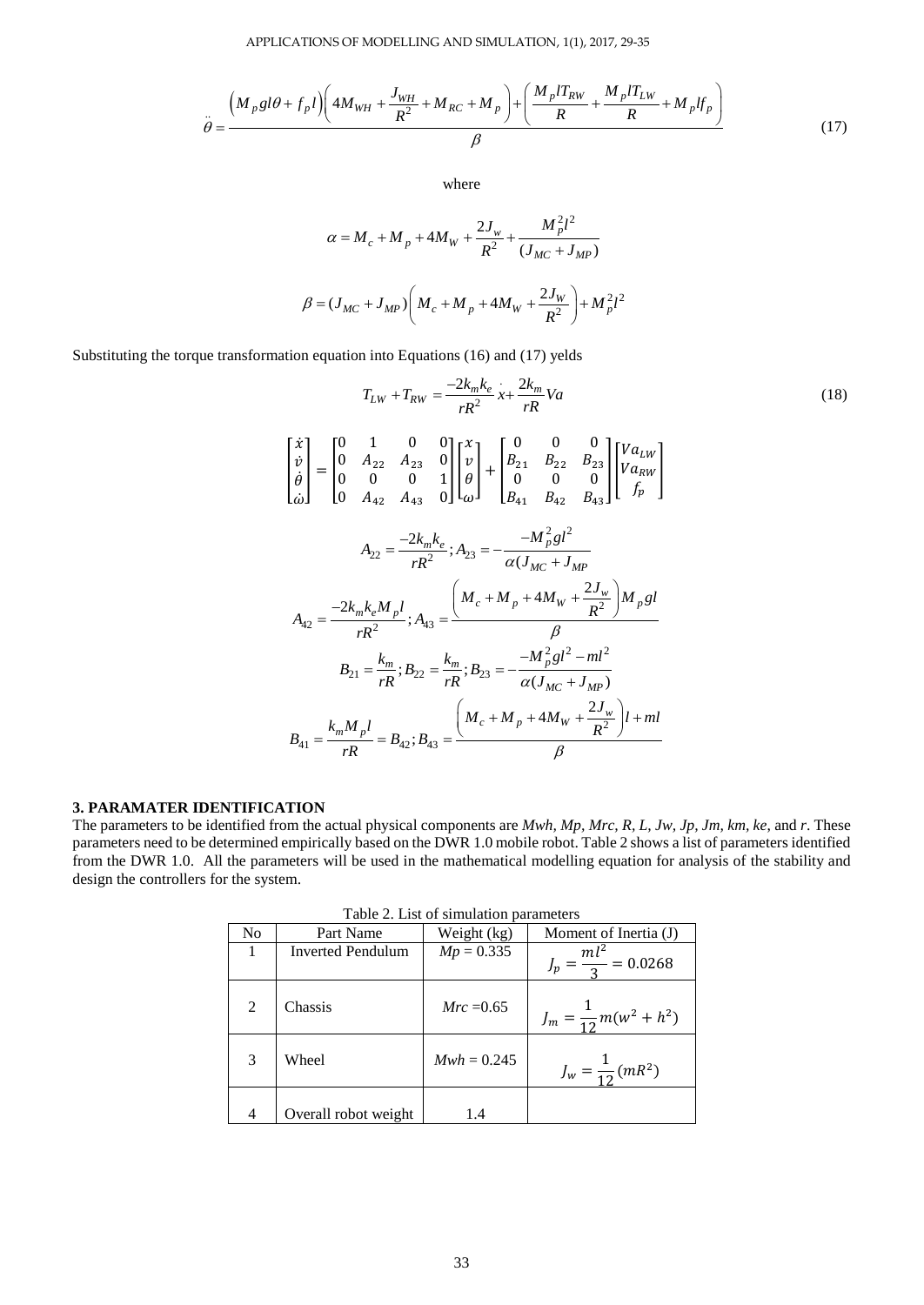APPLICATIONS OF MODELLING AND SIMULATION, 1(1), 2017, 29-35  
\n
$$
\ddot{\theta} = \frac{\left(M_p g l \theta + f_p l\right) \left(4M_{WH} + \frac{J_{WH}}{R^2} + M_{RC} + M_p\right) + \left(\frac{M_p l T_{RW}}{R} + \frac{M_p l T_{LW}}{R} + M_p l f_p\right)}{\beta}
$$
\n(17)

where

$$
\alpha = M_c + M_p + 4M_W + \frac{2J_w}{R^2} + \frac{M_p^2 l^2}{(J_{MC} + J_{MP})}
$$

$$
\beta = (J_{MC} + J_{MP}) \left( M_c + M_p + 4M_W + \frac{2J_W}{R^2} \right) + M_p^2 l^2
$$

Substituting the torque transformation equation into Equations (16) and (17) yelds

$$
T_{LW} + T_{RW} = \frac{-2k_m k_e}{rR^2} x + \frac{2k_m}{rR} Va
$$
\n
$$
\begin{bmatrix} \dot{x} \\ \dot{v} \\ \dot{\theta} \\ \dot{\theta} \end{bmatrix} = \begin{bmatrix} 0 & 1 & 0 & 0 \\ 0 & A_{22} & A_{23} & 0 \\ 0 & 0 & 0 & 1 \\ 0 & 0 & 0 & 1 \end{bmatrix} \begin{bmatrix} x \\ v \\ \theta \\ \phi \end{bmatrix} + \begin{bmatrix} 0 & 0 & 0 \\ B_{21} & B_{22} & B_{23} \\ 0 & 0 & 0 & 0 \\ B_{41} & B_{42} & B_{43} \end{bmatrix} \begin{bmatrix} Va_{LW} \\ Va_{RW} \\ f_p \end{bmatrix}
$$
\n
$$
A_{22} = \frac{-2k_m k_e}{rR^2}; A_{23} = -\frac{-M_p^2 g l^2}{\alpha(J_{MC} + J_{MP})}
$$
\n
$$
A_{42} = \frac{-2k_m k_e M_p l}{rR^2}; A_{43} = \frac{\left(M_c + M_p + 4M_W + \frac{2J_w}{R^2}\right) M_p g l}{\beta}
$$
\n
$$
B_{21} = \frac{k_m}{rR}; B_{22} = \frac{k_m}{rR}; B_{23} = -\frac{-M_p^2 g l^2 - ml^2}{\alpha(J_{MC} + J_{MP})}
$$
\n
$$
B_{41} = \frac{k_m M_p l}{rR} = B_{42}; B_{43} = \frac{\left(M_c + M_p + 4M_W + \frac{2J_w}{R^2}\right) l + ml}{\beta}
$$

# **3. PARAMATER IDENTIFICATION**

The parameters to be identified from the actual physical components are *Mwh, Mp, Mrc, R, L, Jw, Jp, Jm, km, ke*, and *r*. These parameters need to be determined empirically based on the DWR 1.0 mobile robot. Table 2 shows a list of parameters identified from the DWR 1.0. All the parameters will be used in the mathematical modelling equation for analysis of the stability and design the controllers for the system.

| Table 2. List of simulation parameters |                          |               |                                  |  |  |
|----------------------------------------|--------------------------|---------------|----------------------------------|--|--|
| No                                     | Part Name                | Weight (kg)   | Moment of Inertia (J)            |  |  |
|                                        | <b>Inverted Pendulum</b> | $Mp = 0.335$  | $J_p = \frac{ml^2}{3} = 0.0268$  |  |  |
| 2                                      | Chassis                  | $Mrc = 0.65$  | $J_m = \frac{1}{12}m(w^2 + h^2)$ |  |  |
| 3                                      | Wheel                    | $Mwh = 0.245$ | $J_w = \frac{1}{12} (mR^2)$      |  |  |
|                                        | Overall robot weight     | 1.4           |                                  |  |  |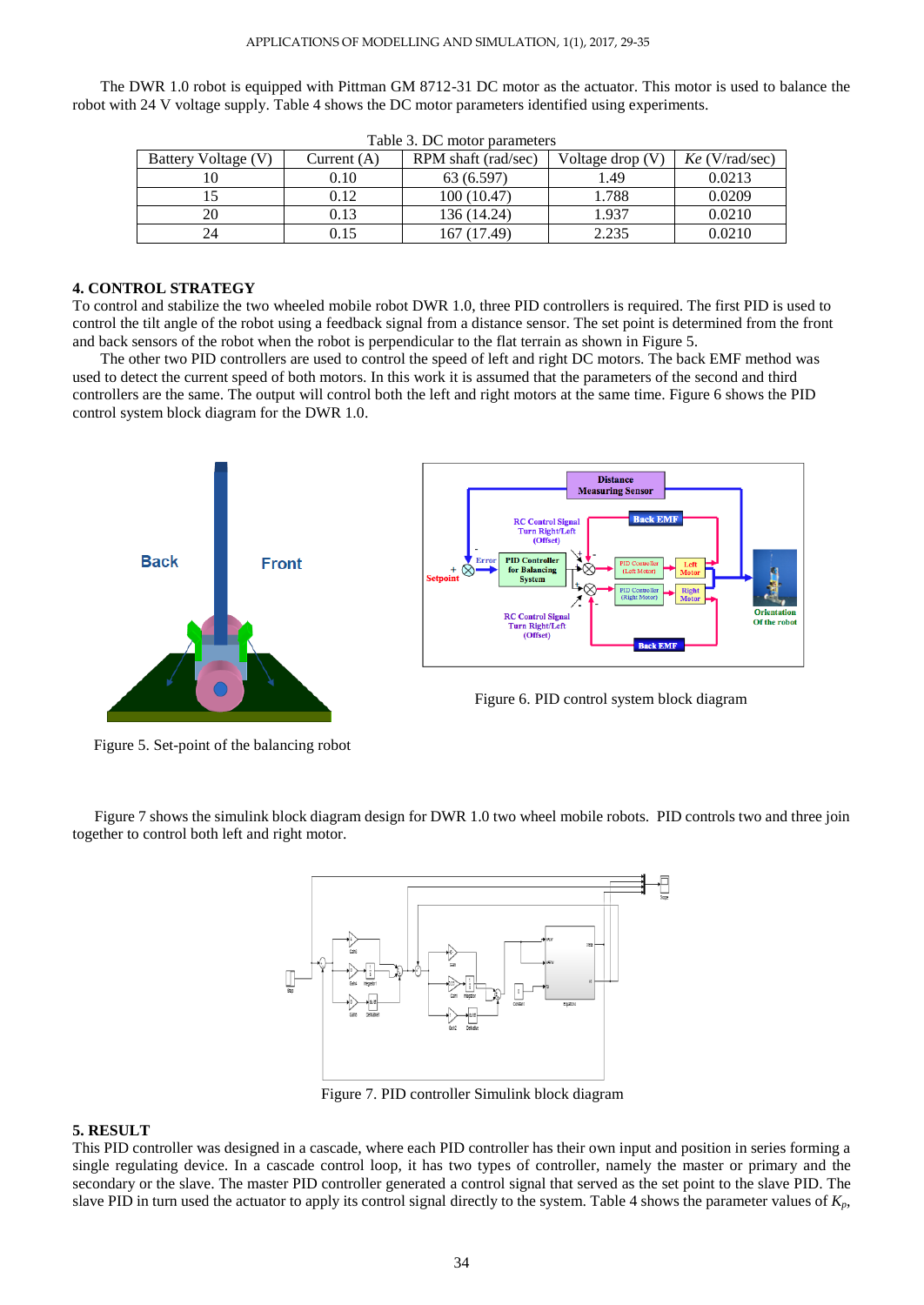The DWR 1.0 robot is equipped with Pittman GM 8712-31 DC motor as the actuator. This motor is used to balance the robot with 24 V voltage supply. Table 4 shows the DC motor parameters identified using experiments.

|            | Tuble 5. De motor buruntette |             |                     |                    |                  |
|------------|------------------------------|-------------|---------------------|--------------------|------------------|
|            | Battery Voltage (V)          | Current (A) | RPM shaft (rad/sec) | Voltage drop $(V)$ | $Ke$ (V/rad/sec) |
|            |                              | 0.10        | 63 (6.597)          | 1.49               | 0.0213           |
|            |                              | 0.12        | 100(10.47)          | 1.788              | 0.0209           |
| 0.13<br>20 |                              | 136 (14.24) | 1.937               | 0.0210             |                  |
|            |                              | 0.15        | 167 (17.49)         | 2.235              | 0.0210           |

Table 3. DC motor parameters

# **4. CONTROL STRATEGY**

To control and stabilize the two wheeled mobile robot DWR 1.0, three PID controllers is required. The first PID is used to control the tilt angle of the robot using a feedback signal from a distance sensor. The set point is determined from the front and back sensors of the robot when the robot is perpendicular to the flat terrain as shown in Figure 5.

The other two PID controllers are used to control the speed of left and right DC motors. The back EMF method was used to detect the current speed of both motors. In this work it is assumed that the parameters of the second and third controllers are the same. The output will control both the left and right motors at the same time. Figure 6 shows the PID control system block diagram for the DWR 1.0.



Figure 5. Set-point of the balancing robot

Figure 7 shows the simulink block diagram design for DWR 1.0 two wheel mobile robots. PID controls two and three join together to control both left and right motor.



Figure 7. PID controller Simulink block diagram

# **5. RESULT**

This PID controller was designed in a cascade, where each PID controller has their own input and position in series forming a single regulating device. In a cascade control loop, it has two types of controller, namely the master or primary and the secondary or the slave. The master PID controller generated a control signal that served as the set point to the slave PID. The slave PID in turn used the actuator to apply its control signal directly to the system. Table 4 shows the parameter values of *Kp*,